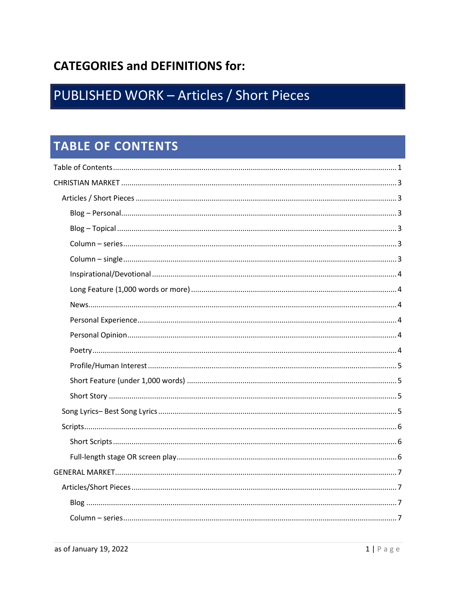# **CATEGORIES and DEFINITIONS for:**

# PUBLISHED WORK - Articles / Short Pieces

# <span id="page-0-0"></span>**TABLE OF CONTENTS**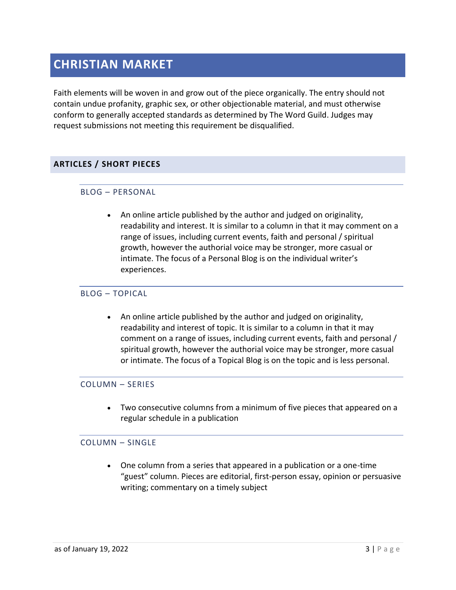# <span id="page-2-0"></span>**CHRISTIAN MARKET**

Faith elements will be woven in and grow out of the piece organically. The entry should not contain undue profanity, graphic sex, or other objectionable material, and must otherwise conform to generally accepted standards as determined by The Word Guild. Judges may request submissions not meeting this requirement be disqualified.

# <span id="page-2-2"></span><span id="page-2-1"></span>**ARTICLES / SHORT PIECES**

## BLOG – PERSONAL

• An online article published by the author and judged on originality, readability and interest. It is similar to a column in that it may comment on a range of issues, including current events, faith and personal / spiritual growth, however the authorial voice may be stronger, more casual or intimate. The focus of a Personal Blog is on the individual writer's experiences.

### <span id="page-2-3"></span>BLOG – TOPICAL

• An online article published by the author and judged on originality, readability and interest of topic. It is similar to a column in that it may comment on a range of issues, including current events, faith and personal / spiritual growth, however the authorial voice may be stronger, more casual or intimate. The focus of a Topical Blog is on the topic and is less personal.

### <span id="page-2-4"></span>COLUMN – SERIES

• Two consecutive columns from a minimum of five pieces that appeared on a regular schedule in a publication

## <span id="page-2-5"></span>COLUMN – SINGLE

• One column from a series that appeared in a publication or a one-time "guest" column. Pieces are editorial, first-person essay, opinion or persuasive writing; commentary on a timely subject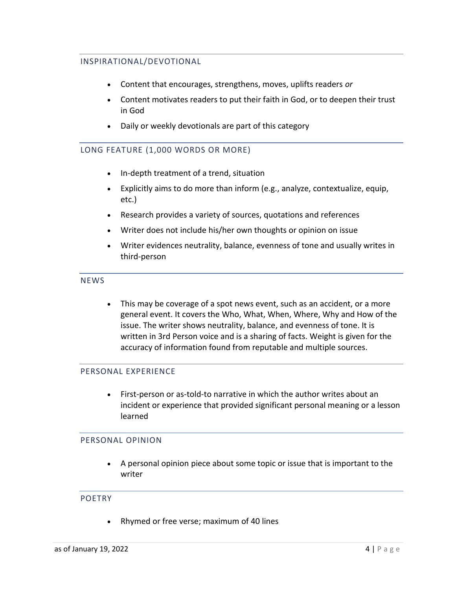# <span id="page-3-0"></span>INSPIRATIONAL/DEVOTIONAL

- Content that encourages, strengthens, moves, uplifts readers *or*
- Content motivates readers to put their faith in God, or to deepen their trust in God
- Daily or weekly devotionals are part of this category

# <span id="page-3-1"></span>LONG FEATURE (1,000 WORDS OR MORE)

- In-depth treatment of a trend, situation
- Explicitly aims to do more than inform (e.g., analyze, contextualize, equip, etc.)
- Research provides a variety of sources, quotations and references
- Writer does not include his/her own thoughts or opinion on issue
- Writer evidences neutrality, balance, evenness of tone and usually writes in third-person

### <span id="page-3-2"></span>**NEWS**

• This may be coverage of a spot news event, such as an accident, or a more general event. It covers the Who, What, When, Where, Why and How of the issue. The writer shows neutrality, balance, and evenness of tone. It is written in 3rd Person voice and is a sharing of facts. Weight is given for the accuracy of information found from reputable and multiple sources.

## <span id="page-3-3"></span>PERSONAL EXPERIENCE

• First-person or as-told-to narrative in which the author writes about an incident or experience that provided significant personal meaning or a lesson learned

## <span id="page-3-4"></span>PERSONAL OPINION

• A personal opinion piece about some topic or issue that is important to the writer

### <span id="page-3-5"></span>POETRY

• Rhymed or free verse; maximum of 40 lines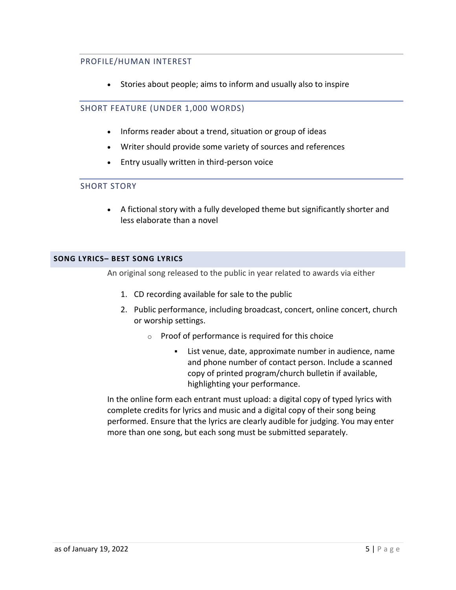# <span id="page-4-0"></span>PROFILE/HUMAN INTEREST

• Stories about people; aims to inform and usually also to inspire

# <span id="page-4-1"></span>SHORT FEATURE (UNDER 1,000 WORDS)

- Informs reader about a trend, situation or group of ideas
- Writer should provide some variety of sources and references
- Entry usually written in third-person voice

# <span id="page-4-2"></span>SHORT STORY

• A fictional story with a fully developed theme but significantly shorter and less elaborate than a novel

## <span id="page-4-3"></span>**SONG LYRICS– BEST SONG LYRICS**

An original song released to the public in year related to awards via either

- 1. CD recording available for sale to the public
- 2. Public performance, including broadcast, concert, online concert, church or worship settings.
	- o Proof of performance is required for this choice
		- List venue, date, approximate number in audience, name and phone number of contact person. Include a scanned copy of printed program/church bulletin if available, highlighting your performance.

In the online form each entrant must upload: a digital copy of typed lyrics with complete credits for lyrics and music and a digital copy of their song being performed. Ensure that the lyrics are clearly audible for judging. You may enter more than one song, but each song must be submitted separately.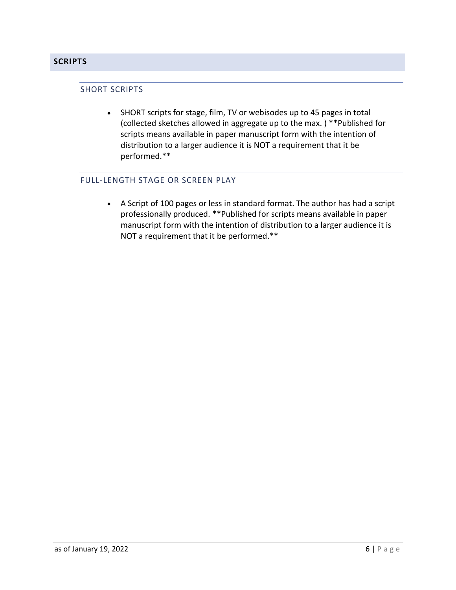## <span id="page-5-1"></span><span id="page-5-0"></span>**SCRIPTS**

#### SHORT SCRIPTS

• SHORT scripts for stage, film, TV or webisodes up to 45 pages in total (collected sketches allowed in aggregate up to the max. ) \*\*Published for scripts means available in paper manuscript form with the intention of distribution to a larger audience it is NOT a requirement that it be performed.\*\*

# <span id="page-5-2"></span>FULL-LENGTH STAGE OR SCREEN PLAY

• A Script of 100 pages or less in standard format. The author has had a script professionally produced. \*\*Published for scripts means available in paper manuscript form with the intention of distribution to a larger audience it is NOT a requirement that it be performed.\*\*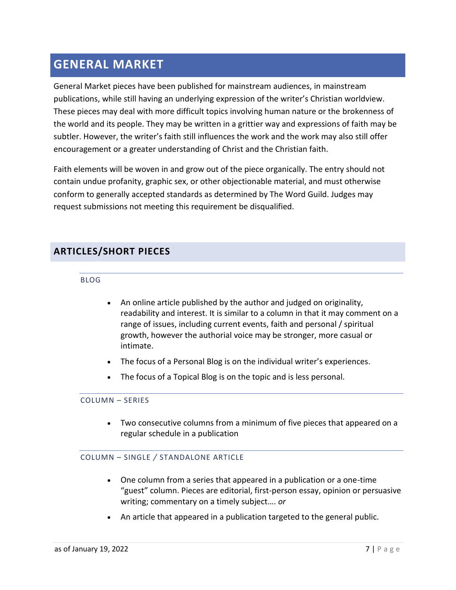# <span id="page-6-0"></span>**GENERAL MARKET**

General Market pieces have been published for mainstream audiences, in mainstream publications, while still having an underlying expression of the writer's Christian worldview. These pieces may deal with more difficult topics involving human nature or the brokenness of the world and its people. They may be written in a grittier way and expressions of faith may be subtler. However, the writer's faith still influences the work and the work may also still offer encouragement or a greater understanding of Christ and the Christian faith.

Faith elements will be woven in and grow out of the piece organically. The entry should not contain undue profanity, graphic sex, or other objectionable material, and must otherwise conform to generally accepted standards as determined by The Word Guild. Judges may request submissions not meeting this requirement be disqualified.

# <span id="page-6-2"></span><span id="page-6-1"></span>**ARTICLES/SHORT PIECES**

BLOG

- An online article published by the author and judged on originality, readability and interest. It is similar to a column in that it may comment on a range of issues, including current events, faith and personal / spiritual growth, however the authorial voice may be stronger, more casual or intimate.
- The focus of a Personal Blog is on the individual writer's experiences.
- The focus of a Topical Blog is on the topic and is less personal.

## <span id="page-6-3"></span>COLUMN – SERIES

• Two consecutive columns from a minimum of five pieces that appeared on a regular schedule in a publication

## <span id="page-6-4"></span>COLUMN – SINGLE */* STANDALONE ARTICLE

- One column from a series that appeared in a publication or a one-time "guest" column. Pieces are editorial, first-person essay, opinion or persuasive writing; commentary on a timely subject…. *or*
- An article that appeared in a publication targeted to the general public.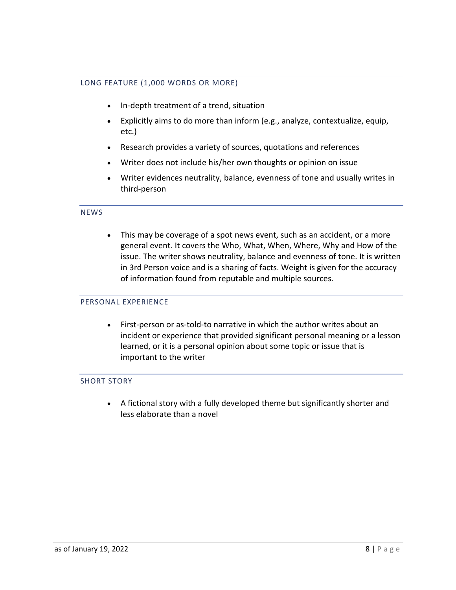## <span id="page-7-0"></span>LONG FEATURE (1,000 WORDS OR MORE)

- In-depth treatment of a trend, situation
- Explicitly aims to do more than inform (e.g., analyze, contextualize, equip, etc.)
- Research provides a variety of sources, quotations and references
- Writer does not include his/her own thoughts or opinion on issue
- Writer evidences neutrality, balance, evenness of tone and usually writes in third-person

### <span id="page-7-1"></span>NEWS

• This may be coverage of a spot news event, such as an accident, or a more general event. It covers the Who, What, When, Where, Why and How of the issue. The writer shows neutrality, balance and evenness of tone. It is written in 3rd Person voice and is a sharing of facts. Weight is given for the accuracy of information found from reputable and multiple sources.

### <span id="page-7-2"></span>PERSONAL EXPERIENCE

• First-person or as-told-to narrative in which the author writes about an incident or experience that provided significant personal meaning or a lesson learned, or it is a personal opinion about some topic or issue that is important to the writer

### <span id="page-7-3"></span>SHORT STORY

• A fictional story with a fully developed theme but significantly shorter and less elaborate than a novel